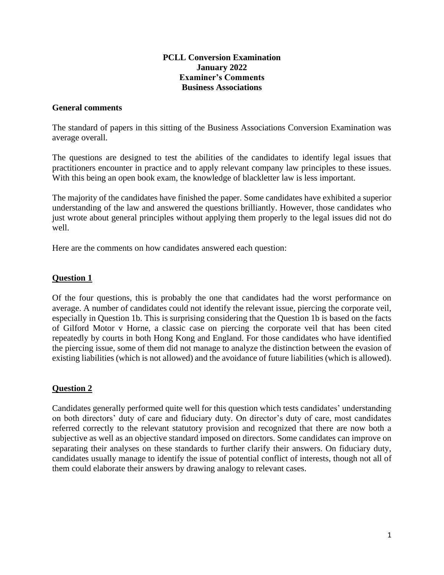### **PCLL Conversion Examination January 2022 Examiner's Comments Business Associations**

### **General comments**

The standard of papers in this sitting of the Business Associations Conversion Examination was average overall.

The questions are designed to test the abilities of the candidates to identify legal issues that practitioners encounter in practice and to apply relevant company law principles to these issues. With this being an open book exam, the knowledge of blackletter law is less important.

The majority of the candidates have finished the paper. Some candidates have exhibited a superior understanding of the law and answered the questions brilliantly. However, those candidates who just wrote about general principles without applying them properly to the legal issues did not do well.

Here are the comments on how candidates answered each question:

## **Question 1**

Of the four questions, this is probably the one that candidates had the worst performance on average. A number of candidates could not identify the relevant issue, piercing the corporate veil, especially in Question 1b. This is surprising considering that the Question 1b is based on the facts of Gilford Motor v Horne, a classic case on piercing the corporate veil that has been cited repeatedly by courts in both Hong Kong and England. For those candidates who have identified the piercing issue, some of them did not manage to analyze the distinction between the evasion of existing liabilities (which is not allowed) and the avoidance of future liabilities (which is allowed).

## **Question 2**

Candidates generally performed quite well for this question which tests candidates' understanding on both directors' duty of care and fiduciary duty. On director's duty of care, most candidates referred correctly to the relevant statutory provision and recognized that there are now both a subjective as well as an objective standard imposed on directors. Some candidates can improve on separating their analyses on these standards to further clarify their answers. On fiduciary duty, candidates usually manage to identify the issue of potential conflict of interests, though not all of them could elaborate their answers by drawing analogy to relevant cases.